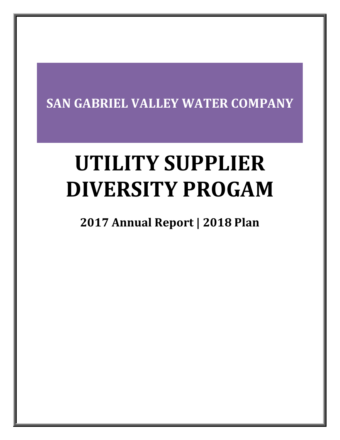# **SAN GABRIEL VALLEY WATER COMPANY**

# **UTILITY SUPPLIER DIVERSITY PROGAM**

## **2017 Annual Report | 2018 Plan**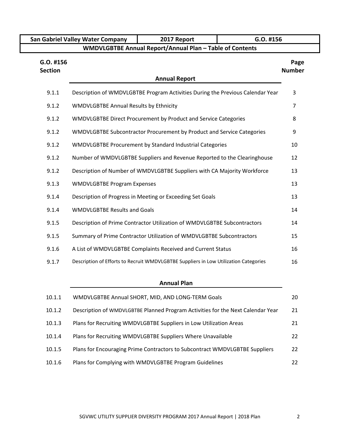|                             | San Gabriel Valley Water Company                         | 2017 Report                                                                          | G.O. #156 |                       |  |  |  |  |  |  |  |
|-----------------------------|----------------------------------------------------------|--------------------------------------------------------------------------------------|-----------|-----------------------|--|--|--|--|--|--|--|
|                             | WMDVLGBTBE Annual Report/Annual Plan - Table of Contents |                                                                                      |           |                       |  |  |  |  |  |  |  |
| G.O. #156<br><b>Section</b> |                                                          |                                                                                      |           | Page<br><b>Number</b> |  |  |  |  |  |  |  |
|                             | <b>Annual Report</b>                                     |                                                                                      |           |                       |  |  |  |  |  |  |  |
| 9.1.1                       |                                                          | Description of WMDVLGBTBE Program Activities During the Previous Calendar Year       |           | 3                     |  |  |  |  |  |  |  |
| 9.1.2                       | <b>WMDVLGBTBE Annual Results by Ethnicity</b>            |                                                                                      |           | $\overline{7}$        |  |  |  |  |  |  |  |
| 9.1.2                       |                                                          | WMDVLGBTBE Direct Procurement by Product and Service Categories                      |           | 8                     |  |  |  |  |  |  |  |
| 9.1.2                       |                                                          | WMDVLGBTBE Subcontractor Procurement by Product and Service Categories               |           | 9                     |  |  |  |  |  |  |  |
| 9.1.2                       |                                                          | WMDVLGBTBE Procurement by Standard Industrial Categories                             |           | 10                    |  |  |  |  |  |  |  |
| 9.1.2                       |                                                          | Number of WMDVLGBTBE Suppliers and Revenue Reported to the Clearinghouse             |           | 12                    |  |  |  |  |  |  |  |
| 9.1.2                       |                                                          | Description of Number of WMDVLGBTBE Suppliers with CA Majority Workforce             |           | 13                    |  |  |  |  |  |  |  |
| 9.1.3                       | <b>WMDVLGBTBE Program Expenses</b>                       |                                                                                      |           | 13                    |  |  |  |  |  |  |  |
| 9.1.4                       |                                                          | Description of Progress in Meeting or Exceeding Set Goals                            |           | 13                    |  |  |  |  |  |  |  |
| 9.1.4                       | <b>WMDVLGBTBE Results and Goals</b>                      |                                                                                      |           | 14                    |  |  |  |  |  |  |  |
| 9.1.5                       |                                                          | Description of Prime Contractor Utilization of WMDVLGBTBE Subcontractors             |           | 14                    |  |  |  |  |  |  |  |
| 9.1.5                       |                                                          | Summary of Prime Contractor Utilization of WMDVLGBTBE Subcontractors                 |           | 15                    |  |  |  |  |  |  |  |
| 9.1.6                       |                                                          | A List of WMDVLGBTBE Complaints Received and Current Status                          |           | 16                    |  |  |  |  |  |  |  |
| 9.1.7                       |                                                          | Description of Efforts to Recruit WMDVLGBTBE Suppliers in Low Utilization Categories |           | 16                    |  |  |  |  |  |  |  |
|                             |                                                          |                                                                                      |           |                       |  |  |  |  |  |  |  |

### **Annual Plan**

| 10.1.1 | WMDVLGBTBE Annual SHORT, MID, AND LONG-TERM Goals                               | 20 |
|--------|---------------------------------------------------------------------------------|----|
| 10.1.2 | Description of WMDVLGBTBE Planned Program Activities for the Next Calendar Year | 21 |
| 10.1.3 | Plans for Recruiting WMDVLGBTBE Suppliers in Low Utilization Areas              | 21 |
| 10.1.4 | Plans for Recruiting WMDVLGBTBE Suppliers Where Unavailable                     | 22 |
| 10.1.5 | Plans for Encouraging Prime Contractors to Subcontract WMDVLGBTBE Suppliers     | 22 |
| 10.1.6 | Plans for Complying with WMDVLGBTBE Program Guidelines                          | 22 |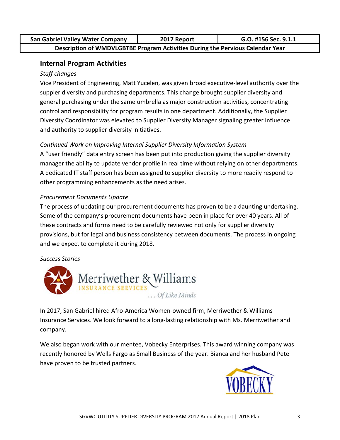| <b>San Gabriel Valley Water Company</b>                                        | 2017 Report | G.O. #156 Sec. 9.1.1 |
|--------------------------------------------------------------------------------|-------------|----------------------|
| Description of WMDVLGBTBE Program Activities During the Pervious Calendar Year |             |                      |

### **Internal Program Activities**

### **Staff changes**

Vice President of Engineering, Matt Yucelen, was given broad executive-level authority over the suppler diversity and purchasing departments. This change brought supplier diversity and general purchasing under the same umbrella as major construction activities, concentrating control and responsibility for program results in one department. Additionally, the Supplier Diversity Coordinator was elevated to Supplier Diversity Manager signaling greater influence and authority to supplier diversity initiatives.

### Continued Work on Improving Internal Supplier Diversity Information System

A "user friendly" data entry screen has been put into production giving the supplier diversity manager the ability to update vendor profile in real time without relying on other departments. A dedicated IT staff person has been assigned to supplier diversity to more readily respond to other programming enhancements as the need arises.

### **Procurement Documents Update**

The process of updating our procurement documents has proven to be a daunting undertaking. Some of the company's procurement documents have been in place for over 40 years. All of these contracts and forms need to be carefully reviewed not only for supplier diversity provisions, but for legal and business consistency between documents. The process in ongoing and we expect to complete it during 2018.

### **Success Stories**



In 2017, San Gabriel hired Afro-America Women-owned firm, Merriwether & Williams Insurance Services. We look forward to a long-lasting relationship with Ms. Merriwether and company.

We also began work with our mentee, Vobecky Enterprises. This award winning company was recently honored by Wells Fargo as Small Business of the year. Bianca and her husband Pete have proven to be trusted partners.

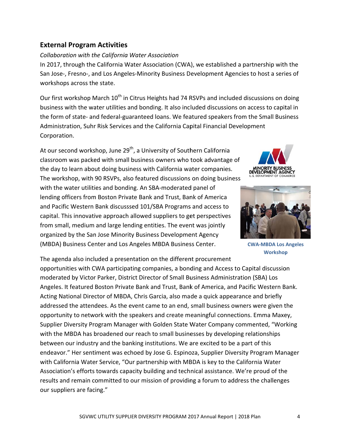### **External Program Activities**

### Collaboration with the California Water Association

In 2017, through the California Water Association (CWA), we established a partnership with the San Jose-, Fresno-, and Los Angeles-Minority Business Development Agencies to host a series of workshops across the state.

Our first workshop March 10<sup>th</sup> in Citrus Heights had 74 RSVPs and included discussions on doing business with the water utilities and bonding. It also included discussions on access to capital in the form of state- and federal-guaranteed loans. We featured speakers from the Small Business Administration, Suhr Risk Services and the California Capital Financial Development Corporation.

At our second workshop, June 29<sup>th</sup>, a University of Southern California classroom was packed with small business owners who took advantage of the day to learn about doing business with California water companies. The workshop, with 90 RSVPs, also featured discussions on doing business with the water utilities and bonding. An SBA-moderated panel of lending officers from Boston Private Bank and Trust, Bank of America and Pacific Western Bank discusssed 101/SBA Programs and access to capital. This innovative approach allowed suppliers to get perspectives from small, medium and large lending entities. The event was jointly organized by the San Jose Minority Business Development Agency (MBDA) Business Center and Los Angeles MBDA Business Center.





**CWA-MBDA Los Angeles Workshop** 

The agenda also included a presentation on the different procurement opportunities with CWA participating companies, a bonding and Access to Capital discussion moderated by Victor Parker, District Director of Small Business Administration (SBA) Los Angeles. It featured Boston Private Bank and Trust, Bank of America, and Pacific Western Bank. Acting National Director of MBDA, Chris Garcia, also made a quick appearance and briefly addressed the attendees. As the event came to an end, small business owners were given the opportunity to network with the speakers and create meaningful connections. Emma Maxey, Supplier Diversity Program Manager with Golden State Water Company commented, "Working with the MBDA has broadened our reach to small businesses by developing relationships between our industry and the banking institutions. We are excited to be a part of this endeavor." Her sentiment was echoed by Jose G. Espinoza, Supplier Diversity Program Manager with California Water Service, "Our partnership with MBDA is key to the California Water Association's efforts towards capacity building and technical assistance. We're proud of the results and remain committed to our mission of providing a forum to address the challenges our suppliers are facing."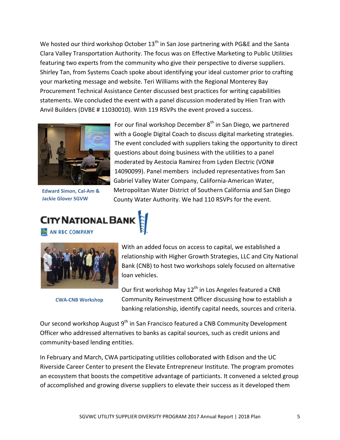We hosted our third workshop October 13<sup>th</sup> in San Jose partnering with PG&E and the Santa Clara Valley Transportation Authority. The focus was on Effective Marketing to Public Utilities featuring two experts from the community who give their perspective to diverse suppliers. Shirley Tan, from Systems Coach spoke about identifying your ideal customer prior to crafting your marketing message and website. Teri Williams with the Regional Monterey Bay Procurement Technical Assistance Center discussed best practices for writing capabilities statements. We concluded the event with a panel discussion moderated by Hien Tran with Anvil Builders (DVBE #11030010). With 119 RSVPs the event proved a success.



**Edward Simon, Cal-Am & Jackie Glover SGVW** 

For our final workshop December 8<sup>th</sup> in San Diego, we partnered with a Google Digital Coach to discuss digital marketing strategies. The event concluded with suppliers taking the opportunity to direct questions about doing business with the utilities to a panel moderated by Aestocia Ramirez from Lyden Electric (VON# 14090099). Panel members included representatives from San Gabriel Valley Water Company, California-American Water, Metropolitan Water District of Southern California and San Diego County Water Authority. We had 110 RSVPs for the event.

## **CITY NATIONAL BAN** AN RBC COMPANY



**CWA-CNB Workshop** 

With an added focus on access to capital, we established a relationship with Higher Growth Strategies, LLC and City National Bank (CNB) to host two workshops solely focused on alternative loan vehicles.

Our first workshop May 12<sup>th</sup> in Los Angeles featured a CNB Community Reinvestment Officer discussing how to establish a banking relationship, identify capital needs, sources and criteria.

Our second workshop August 9<sup>th</sup> in San Francisco featured a CNB Community Development Officer who addressed alternatives to banks as capital sources, such as credit unions and community-based lending entities.

In February and March, CWA participating utilities colloborated with Edison and the UC Riverside Career Center to present the Elevate Entrepreneur Institute. The program promotes an ecosystem that boosts the competitive advantage of particiants. It convened a selcted group of accomplished and growing diverse suppliers to elevate their success as it developed them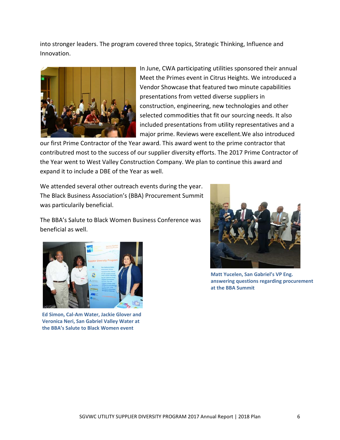into stronger leaders. The program covered three topics, Strategic Thinking, Influence and Innovation.



In June, CWA participating utilities sponsored their annual Meet the Primes event in Citrus Heights. We introduced a Vendor Showcase that featured two minute capabilities presentations from vetted diverse suppliers in construction, engineering, new technologies and other selected commodities that fit our sourcing needs. It also included presentations from utility representatives and a major prime. Reviews were excellent. We also introduced

our first Prime Contractor of the Year award. This award went to the prime contractor that contributred most to the success of our supplier diversity efforts. The 2017 Prime Contractor of the Year went to West Valley Construction Company. We plan to continue this award and expand it to include a DBE of the Year as well.

We attended several other outreach events during the year. The Black Business Association's (BBA) Procurement Summit was particularily beneficial.

The BBA's Salute to Black Women Business Conference was beneficial as well.



Ed Simon, Cal-Am Water, Jackie Glover and Veronica Neri, San Gabriel Valley Water at the BBA's Salute to Black Women event



Matt Yucelen, San Gabriel's VP Eng. answering questions regarding procurement at the BBA Summit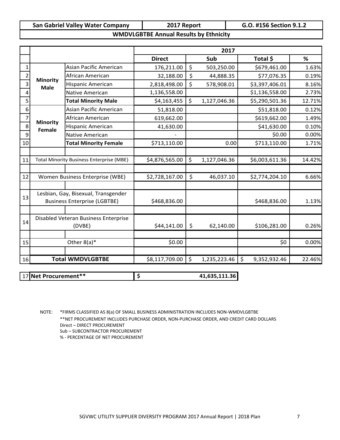| <b>San Gabriel Valley Water Company</b> | 2017 Report                                   | G.O. #156 Section 9.1.2 |
|-----------------------------------------|-----------------------------------------------|-------------------------|
|                                         | <b>WMDVLGBTBE Annual Results by Ethnicity</b> |                         |

|    |                 |                                                 |                | 2017               |                    |        |
|----|-----------------|-------------------------------------------------|----------------|--------------------|--------------------|--------|
|    |                 |                                                 | <b>Direct</b>  | Sub                | Total \$           | %      |
|    |                 | Asian Pacific American                          | 176,211.00     | \$<br>503,250.00   | \$679,461.00       | 1.63%  |
|    | <b>Minority</b> | African American                                | 32,188.00      | \$<br>44,888.35    | \$77,076.35        | 0.19%  |
| 3  | <b>Male</b>     | <b>Hispanic American</b>                        | 2,818,498.00   | \$<br>578,908.01   | \$3,397,406.01     | 8.16%  |
|    |                 | Native American                                 | 1,136,558.00   |                    | \$1,136,558.00     | 2.73%  |
|    |                 | <b>Total Minority Male</b>                      | \$4,163,455    | \$<br>1,127,046.36 | \$5,290,501.36     | 12.71% |
| 6  |                 | Asian Pacific American                          | 51,818.00      |                    | \$51,818.00        | 0.12%  |
|    | <b>Minority</b> | African American                                | 619,662.00     |                    | \$619,662.00       | 1.49%  |
| 8  | <b>Female</b>   | Hispanic American                               | 41,630.00      |                    | \$41,630.00        | 0.10%  |
| 9  |                 | Native American                                 |                |                    | \$0.00             | 0.00%  |
| 10 |                 | <b>Total Minority Female</b>                    | \$713,110.00   | 0.00               | \$713,110.00       | 1.71%  |
|    |                 |                                                 |                |                    |                    |        |
| 11 |                 | <b>Total Minority Business Enterprise (MBE)</b> | \$4,876,565.00 | \$<br>1,127,046.36 | \$6,003,611.36     | 14.42% |
|    |                 |                                                 |                |                    |                    |        |
| 12 |                 | Women Business Enterprise (WBE)                 | \$2,728,167.00 | \$<br>46,037.10    | \$2,774,204.10     | 6.66%  |
|    |                 |                                                 |                |                    |                    |        |
| 13 |                 | Lesbian, Gay, Bisexual, Transgender             |                |                    |                    |        |
|    |                 | <b>Business Enterprise (LGBTBE)</b>             | \$468,836.00   |                    | \$468,836.00       | 1.13%  |
|    |                 |                                                 |                |                    |                    |        |
| 14 |                 | Disabled Veteran Business Enterprise            |                |                    |                    |        |
|    |                 | (DVBE)                                          | \$44,141.00    | \$<br>62,140.00    | \$106,281.00       | 0.26%  |
|    |                 |                                                 |                |                    |                    |        |
| 15 |                 | Other $8(a)^*$                                  | \$0.00         |                    | \$0                | 0.00%  |
|    |                 |                                                 |                |                    |                    |        |
| 16 |                 | <b>Total WMDVLGBTBE</b>                         | \$8,117,709.00 | \$<br>1,235,223.46 | \$<br>9,352,932.46 | 22.46% |

17 **Net Procurement\*\* \$ 41,635,111.36**

NOTE: \*FIRMS CLASSIFIED AS 8(a) OF SMALL BUSINESS ADMINISTRATION INCLUDES NON‐WMDVLGBTBE \*\*NET PROCUREMENT INCLUDES PURCHASE ORDER, NON‐PURCHASE ORDER, AND CREDIT CARD DOLLARS Direct – DIRECT PROCUREMENT Sub – SUBCONTRACTOR PROCUREMENT % ‐ PERCENTAGE OF NET PROCUREMENT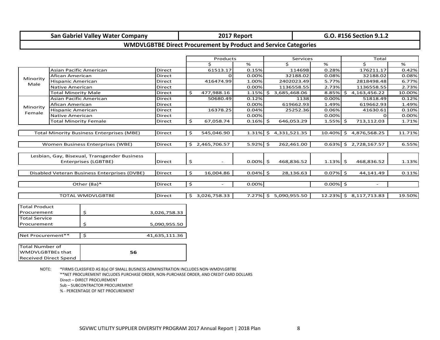### **San Gabriel Valley Water Company 2017 Report G.O. #156 Section 9.1.2**

### **WMDVLGBTBE Direct Procurement by Product and Service Categories**

|                             |                              |                                                  |               |       | Products                 |             | Services              |             | Total |                        |        |
|-----------------------------|------------------------------|--------------------------------------------------|---------------|-------|--------------------------|-------------|-----------------------|-------------|-------|------------------------|--------|
|                             |                              |                                                  |               |       | Ś.                       | %           | Ś.                    | %           |       | Ś.                     | %      |
|                             | Asian Pacific American       |                                                  | <b>Direct</b> |       | 61513.17                 | 0.15%       | 114698                | 0.28%       |       | 176211.17              | 0.42%  |
| Afican American<br>Minority |                              |                                                  | <b>Direct</b> |       | $\Omega$                 | 0.00%       | 32188.02              | 0.08%       |       | 32188.02               | 0.08%  |
| Male                        | Direct                       |                                                  | 416474.99     | 1.00% | 2402023.49               | 5.77%       |                       | 2818498.48  | 6.77% |                        |        |
|                             | <b>Direct</b>                |                                                  |               | 0.00% | 1136558.55               | 2.73%       |                       | 1136558.55  | 2.73% |                        |        |
|                             | <b>Total Minority Male</b>   |                                                  | <b>Direct</b> | \$    | 477,988.16               | $1.15\%$ \$ | 3,685,468.06          | 8.85%       |       | \$4,163,456.22         | 10.00% |
|                             | Asian Pacific American       |                                                  | Direct        |       | 50680.49                 | 0.12%       | 1138                  | 0.00%       |       | 51818.49               | 0.12%  |
| Minority                    | Afican American              |                                                  | <b>Direct</b> |       |                          | 0.00%       | 619662.93             | 1.49%       |       | 619662.93              | 1.49%  |
| Female                      | <b>Hispanic American</b>     |                                                  | Direct        |       | 16378.25                 | 0.04%       | 25252.36              | 0.06%       |       | 41630.61               | 0.10%  |
|                             | Native American              |                                                  | <b>Direct</b> |       |                          | 0.00%       |                       | 0.00%       |       | $\Omega$               | 0.00%  |
|                             | <b>Total Minority Female</b> |                                                  | <b>Direct</b> | \$    | 67,058.74                | $0.16\%$ \$ | 646,053.29            | $1.55\%$ \$ |       | 713,112.03             | 1.71%  |
|                             |                              |                                                  |               |       |                          |             |                       |             |       |                        |        |
|                             |                              | <b>Total Minority Business Enterprises (MBE)</b> | <b>Direct</b> | \$    | 545,046.90               | 1.31%       | S.<br>4,331,521.35    | 10.40%      | S.    | 4,876,568.25           | 11.71% |
|                             |                              |                                                  |               |       |                          |             |                       |             |       |                        |        |
|                             |                              | Women Business Enterprises (WBE)                 | Direct        | Ŝ.    | 2,465,706.57             | $5.92\%$ \$ | 262,461.00            | 0.63%       |       | \$2,728,167.57         | 6.55%  |
|                             |                              |                                                  |               |       |                          |             |                       |             |       |                        |        |
|                             |                              | Lesbian, Gay, Bisexual, Transgender Business     |               |       |                          |             |                       |             |       |                        |        |
|                             |                              | Enterprises (LGBTBE)                             | <b>Direct</b> | \$    |                          | $0.00\%$ \$ | 468,836.52            | $1.13\%$ \$ |       | 468,836.52             | 1.13%  |
|                             |                              |                                                  |               |       |                          |             |                       |             |       |                        |        |
|                             |                              | Disabled Veteran Business Enterprises (DVBE)     | <b>Direct</b> | \$    | 16,004.86                | $0.04\%$ \$ | 28,136.63             | $0.07\%$ \$ |       | 44,141.49              | 0.11%  |
|                             |                              |                                                  |               |       |                          |             |                       |             |       |                        |        |
|                             |                              | Other (8a)*                                      | Direct        | \$    | $\overline{\phantom{a}}$ | 0.00%       |                       | $0.00\%$ \$ |       |                        |        |
|                             |                              |                                                  |               |       |                          |             |                       |             |       |                        |        |
|                             |                              | <b>TOTAL WMDVLGBTBE</b>                          | <b>Direct</b> | Ŝ.    | 3,026,758.33             |             | 7.27% \$ 5,090,955.50 |             |       | 12.23% \$ 8,117,713.83 | 19.50% |
|                             |                              |                                                  |               |       |                          |             |                       |             |       |                        |        |
| <b>Total Product</b>        |                              |                                                  |               |       |                          |             |                       |             |       |                        |        |
| Procurement                 |                              | \$                                               | 3,026,758.33  |       |                          |             |                       |             |       |                        |        |
| <b>Total Service</b>        |                              |                                                  |               |       |                          |             |                       |             |       |                        |        |
| Procurement                 |                              | Ś                                                | 5,090,955.50  |       |                          |             |                       |             |       |                        |        |
|                             |                              |                                                  |               |       |                          |             |                       |             |       |                        |        |
| Net Procurement**           |                              | $\mathsf{S}$                                     | 41,635,111.36 |       |                          |             |                       |             |       |                        |        |
|                             |                              |                                                  |               |       |                          |             |                       |             |       |                        |        |
| <b>Total Number of</b>      |                              |                                                  |               |       |                          |             |                       |             |       |                        |        |
| <b>WMDVLGBTBEs that</b>     |                              | 56                                               |               |       |                          |             |                       |             |       |                        |        |
|                             | <b>Received Direct Spend</b> |                                                  |               |       |                          |             |                       |             |       |                        |        |

NOTE: \*FIRMS CLASSIFIED AS 8(a) OF SMALL BUSINESS ADMINISTRATION INCLUDES NON‐WMDVLGBTBE \*\*NET PROCUREMENT INCLUDES PURCHASE ORDER, NON‐PURCHASE ORDER, AND CREDIT CARD DOLLARS Direct – DIRECT PROCUREMENT Sub – SUBCONTRACTOR PROCUREMENT % ‐ PERCENTAGE OF NET PROCUREMENT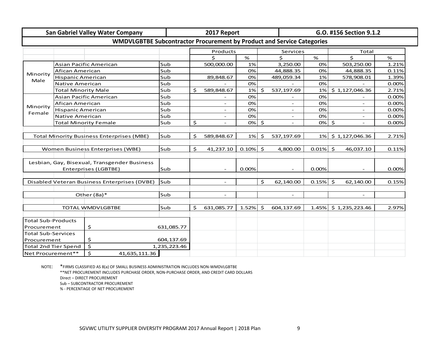|                             |                             | <b>San Gabriel Valley Water Company</b>                                       |              | 2017 Report              |             |    |                          | G.O. #156 Section 9.1.2 |                          |       |  |  |  |
|-----------------------------|-----------------------------|-------------------------------------------------------------------------------|--------------|--------------------------|-------------|----|--------------------------|-------------------------|--------------------------|-------|--|--|--|
|                             |                             | <b>WMDVLGBTBE Subcontractor Procurement by Product and Service Categories</b> |              |                          |             |    |                          |                         |                          |       |  |  |  |
|                             |                             |                                                                               |              | Products                 |             |    | Services                 |                         | Total                    |       |  |  |  |
|                             |                             |                                                                               |              | Ś.                       | %           |    | \$                       | %                       | \$                       | %     |  |  |  |
|                             |                             | Asian Pacific American                                                        | Sub          | 500,000.00               | 1%          |    | 3,250.00                 | 0%                      | 503,250.00               | 1.21% |  |  |  |
| Afican American<br>Minority |                             |                                                                               | Sub          |                          | 0%          |    | 44,888.35                | 0%                      | 44,888.35                | 0.11% |  |  |  |
| Male                        | <b>Hispanic American</b>    |                                                                               | Sub          | 89,848.67                | 0%          |    | 489,059.34               | 1%                      | 578,908.01               | 1.39% |  |  |  |
|                             | <b>Native American</b>      |                                                                               | Sub          |                          | 0%          |    |                          | 0%                      |                          | 0.00% |  |  |  |
|                             | <b>Total Minority Male</b>  |                                                                               | Sub          | \$<br>589,848.67         | 1%          | Ś. | 537,197.69               | 1%                      | \$1,127,046.36           | 2.71% |  |  |  |
|                             |                             | Asian Pacific American                                                        | Sub          |                          | 0%          |    |                          | 0%                      |                          | 0.00% |  |  |  |
|                             | Afican American             |                                                                               | Sub          |                          | 0%          |    |                          | 0%                      | ÷.                       | 0.00% |  |  |  |
| Minority                    | Hispanic American           |                                                                               | Sub          |                          | 0%          |    |                          | 0%                      |                          | 0.00% |  |  |  |
| Female                      | <b>Native American</b>      |                                                                               | Sub          |                          | 0%          |    |                          | 0%                      | $\overline{\phantom{a}}$ | 0.00% |  |  |  |
|                             | Sub                         | \$                                                                            | 0%           | $\zeta$                  |             | 0% | $\ddot{\mathsf{S}}$      | 0.00%                   |                          |       |  |  |  |
|                             |                             |                                                                               |              |                          |             |    |                          |                         |                          |       |  |  |  |
|                             |                             | <b>Total Minority Business Enterprises (MBE)</b>                              | Sub          | \$<br>589,848.67         | 1%          | \$ | 537,197.69               | 1%                      | \$1,127,046.36           | 2.71% |  |  |  |
|                             |                             |                                                                               |              |                          |             |    |                          |                         |                          |       |  |  |  |
|                             |                             | Women Business Enterprises (WBE)                                              | Sub          | \$<br>41,237.10          | $0.10\%$ \$ |    | 4,800.00                 | $0.01\%$ \$             | 46,037.10                | 0.11% |  |  |  |
|                             |                             |                                                                               |              |                          |             |    |                          |                         |                          |       |  |  |  |
|                             |                             | Lesbian, Gay, Bisexual, Transgender Business                                  |              |                          |             |    |                          |                         |                          |       |  |  |  |
|                             |                             | Enterprises (LGBTBE)                                                          | Sub          |                          | 0.00%       |    | $\overline{\phantom{a}}$ | 0.00%                   | $\overline{\phantom{a}}$ | 0.00% |  |  |  |
|                             |                             |                                                                               |              |                          |             |    |                          |                         |                          |       |  |  |  |
|                             |                             | Disabled Veteran Business Enterprises (DVBE)                                  | Sub          | $\overline{\phantom{a}}$ |             | \$ | 62,140.00                | $0.15\%$ \$             | 62,140.00                | 0.15% |  |  |  |
|                             |                             |                                                                               |              |                          |             |    |                          |                         |                          |       |  |  |  |
|                             |                             | Other (8a)*                                                                   | Sub          | $\overline{\phantom{a}}$ |             |    | $\overline{\phantom{a}}$ |                         | $\overline{\phantom{a}}$ |       |  |  |  |
|                             |                             |                                                                               |              |                          |             |    |                          |                         |                          |       |  |  |  |
|                             |                             | <b>TOTAL WMDVLGBTBE</b>                                                       | Sub          | \$<br>631,085.77         | 1.52%       | Ŝ. | 604,137.69               | 1.45%                   | \$1,235,223.46           | 2.97% |  |  |  |
|                             |                             |                                                                               |              |                          |             |    |                          |                         |                          |       |  |  |  |
| <b>Total Sub-Products</b>   |                             |                                                                               |              |                          |             |    |                          |                         |                          |       |  |  |  |
| \$<br>Procurement           |                             | 631,085.77                                                                    |              |                          |             |    |                          |                         |                          |       |  |  |  |
| <b>Total Sub-Services</b>   |                             |                                                                               |              |                          |             |    |                          |                         |                          |       |  |  |  |
| Procurement                 |                             | \$                                                                            | 604,137.69   |                          |             |    |                          |                         |                          |       |  |  |  |
|                             | <b>Total 2nd Tier Spend</b> | \$                                                                            | 1,235,223.46 |                          |             |    |                          |                         |                          |       |  |  |  |
| Net Procurement**           |                             | \$<br>41,635,111.36                                                           |              |                          |             |    |                          |                         |                          |       |  |  |  |

NOTE: \*FIRMS CLASSIFIED AS 8(a) OF SMALL BUSINESS ADMINISTRATION INCLUDES NON‐WMDVLGBTBE \*\*NET PROCUREMENT INCLUDES PURCHASE ORDER, NON‐PURCHASE ORDER, AND CREDIT CARD DOLLARS Direct – DIRECT PROCUREMENT Sub – SUBCONTRACTOR PROCUREMENT % ‐ PERCENTAGE OF NET PROCUREMENT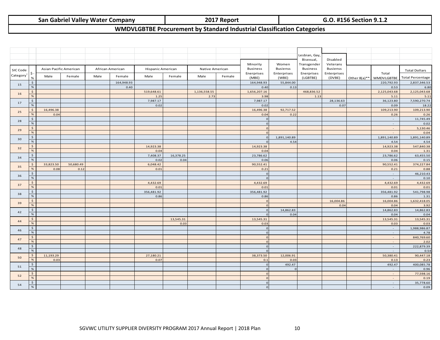### **San Gabriel Valley Water Company 2017 Report G.O. #156 Section 9.1.2**

### **WMDVLGBTBE Procurement by Standard Industrial Classification Categories**

|          |                                   |           |                        |      |                  |                    |           |                      |        |                      |                    | Lesbian, Gay,      |                 |                         |                         |
|----------|-----------------------------------|-----------|------------------------|------|------------------|--------------------|-----------|----------------------|--------|----------------------|--------------------|--------------------|-----------------|-------------------------|-------------------------|
|          |                                   |           |                        |      |                  |                    |           |                      |        |                      |                    | Bisexual,          | Disabled        |                         |                         |
|          |                                   |           |                        |      |                  |                    |           |                      |        | Minority             | Women              | Transgender        | Veterans        |                         |                         |
| SIC Code |                                   |           | Asian Pacific American |      | African American | Hispanic American  |           | Native American      |        | <b>Business</b>      | <b>Busienss</b>    | <b>Business</b>    | <b>Busienss</b> |                         | <b>Total Dollars</b>    |
| Category | ş.                                | Male      | Female                 | Male | Female           | Male               | Female    | Male                 | Female | Enerprises           | Enterprises        | Enerprises         | Enterprises     | Total                   |                         |
|          |                                   |           |                        |      |                  |                    |           |                      |        | (MBE)                | (WBE)              | (LGBTBE)           | (DVBE)          | Other 8(a)** WMDVLGBTBE | <b>Total Percentage</b> |
| 15       | \$<br>$\%$                        |           |                        |      | 164,948.93       |                    |           |                      |        | 164,948.93           | 55,844.00          |                    |                 | 220,792.93              | 2,837,346.53            |
|          |                                   |           |                        |      | 0.40             |                    |           |                      |        | 0.40                 | 0.13               |                    |                 | 0.53                    | 6.80                    |
| 16       | $\boldsymbol{\mathsf{S}}$<br>$\%$ |           |                        |      |                  | 519,648.61<br>1.25 |           | 1,136,558.55<br>2.73 |        | 1,656,207.16<br>3.98 |                    | 468,836.52<br>1.13 |                 | 2,125,043.68<br>5.11    | 2,125,043.68<br>5.11    |
|          | $\frac{1}{2}$                     |           |                        |      |                  | 7,987.17           |           |                      |        | 7,987.17             |                    |                    | 28,136.63       | 36,123.80               | 7,590,270.74            |
| 17       | $\%$                              |           |                        |      |                  | 0.02               |           |                      |        | 0.02                 |                    |                    | 0.07            | 0.09                    | 18.22                   |
|          | \$                                | 16,496.38 |                        |      |                  |                    |           |                      |        | 16,496.38            | 92,717.52          |                    |                 | 109,213.90              | 109,213.90              |
| 25       | $\%$                              | 0.04      |                        |      |                  |                    |           |                      |        | 0.04                 | 0.22               |                    |                 | 0.26                    | 0.26                    |
|          | $\frac{1}{2}$                     |           |                        |      |                  |                    |           |                      |        | $\Omega$             |                    |                    |                 | $\sim$                  | 11,745.49               |
| 28       | $\%$                              |           |                        |      |                  |                    |           |                      |        | $\overline{0}$       |                    |                    |                 | $\sim$                  | 0.02                    |
|          | $\frac{1}{2}$                     |           |                        |      |                  |                    |           |                      |        | $\Omega$             |                    |                    |                 | $\sim$                  | 5,130.46                |
| 29       | $\%$                              |           |                        |      |                  |                    |           |                      |        | $\overline{0}$       |                    |                    |                 | $\sim$                  | 0.04                    |
|          | \$                                |           |                        |      |                  |                    |           |                      |        | $\Omega$             | 1,891,140.89       |                    |                 | 1,891,140.89            | 1,891,140.89            |
| 30       | $\%$                              |           |                        |      |                  |                    |           |                      |        | $\Omega$             | 4.54               |                    |                 | 4.54                    | 4.54                    |
|          | $\boldsymbol{\mathsf{S}}$         |           |                        |      |                  | 14,923.38          |           |                      |        | 14,923.38            |                    |                    |                 | 14,923.38               | 547,840.38              |
| 32       | $\%$                              |           |                        |      |                  | 0.04               |           |                      |        | 0.04                 |                    |                    |                 | 0.04                    | 1.31                    |
|          | $\frac{1}{2}$                     |           |                        |      |                  | 7,408.37           | 16,378.25 |                      |        | 23,786.62            |                    |                    |                 | 23,786.62               | 63,455.50               |
| 34       | $\%$                              |           |                        |      |                  | 0.02               | 0.04      |                      |        | 0.06                 |                    |                    |                 | 0.06                    | 0.15                    |
|          | $\frac{1}{2}$                     | 33,823.50 | 50,680.49              |      |                  | 6,048.42           |           |                      |        | 90,552.41            |                    |                    |                 | 90,552.41               | 374,227.84              |
| 35       | $\%$                              | 0.08      | 0.12                   |      |                  | 0.01               |           |                      |        | 0.21                 |                    |                    |                 | 0.21                    | 0.88                    |
|          | \$                                |           |                        |      |                  |                    |           |                      |        | $\Omega$             |                    |                    |                 | $\sim$                  | 46,210.43               |
| 36       | $\%$                              |           |                        |      |                  |                    |           |                      |        | $\Omega$             |                    |                    |                 | $\omega$                | 0.10                    |
|          | $\frac{1}{2}$                     |           |                        |      |                  | 4,432.69           |           |                      |        | 4,432.69             |                    |                    |                 | 4,432.69                | 4,432.69                |
| 37       | %                                 |           |                        |      |                  | 0.01               |           |                      |        | 0.01                 |                    |                    |                 | 0.01                    | 0.01                    |
| 38       | $\boldsymbol{\mathsf{S}}$         |           |                        |      |                  | 356,481.92         |           |                      |        | 356,481.92           |                    |                    |                 | 356,481.92              | 541,798.98              |
|          | $\%$                              |           |                        |      |                  | 0.86               |           |                      |        | 0.86                 |                    |                    |                 | 0.86                    | 1.31                    |
| 39       | $\boldsymbol{\mathsf{S}}$         |           |                        |      |                  |                    |           |                      |        | $\overline{0}$       |                    |                    | 16,004.86       | 16,004.86               | 1,632,418.05            |
|          | $\%$                              |           |                        |      |                  |                    |           |                      |        | $\overline{0}$       |                    |                    | 0.04            | 0.04                    | 3.92                    |
| 42       | \$                                |           |                        |      |                  |                    |           |                      |        | $\Omega$             | 14,862.83          |                    |                 | 14,862.83               | 14,862.83               |
|          | $\%$                              |           |                        |      |                  |                    |           |                      |        | $\Omega$             | 0.04               |                    |                 | 0.04                    | 0.04                    |
| 44       | \$                                |           |                        |      |                  |                    | 13,545.31 |                      |        | 13,545.31            |                    |                    |                 | 13,545.31               | 13,545.31               |
|          | $\%$                              |           |                        |      |                  |                    | 0.03      |                      |        | 0.03                 |                    |                    |                 | 0.03                    | 0.03                    |
| 46       | $\frac{1}{2}$                     |           |                        |      |                  |                    |           |                      |        | $\overline{0}$       |                    |                    |                 | $\sim$                  | 1,988,986.87            |
|          | $\%$                              |           |                        |      |                  |                    |           |                      |        | $\overline{0}$       |                    |                    |                 | $\sim$                  | 4.78                    |
| 47       | $\boldsymbol{\mathsf{S}}$         |           |                        |      |                  |                    |           |                      |        | $\overline{0}$       |                    |                    |                 | $\sim$                  | 840,769.60              |
|          | $\%$                              |           |                        |      |                  |                    |           |                      |        | $\Omega$             |                    |                    |                 | $\sim$                  | 2.02                    |
| 48       | $\frac{1}{2}$                     |           |                        |      |                  |                    |           |                      |        | $\Omega$             |                    |                    |                 | $\sim$                  | 222,879.39              |
|          | $\%$                              |           |                        |      |                  |                    |           |                      |        | $\Omega$             |                    |                    |                 | $\sim$                  | 0.54                    |
| 50       | $\boldsymbol{\mathsf{S}}$         | 11,193.29 |                        |      |                  | 27,180.21          |           |                      |        | 38,373.50            | 12,006.91          |                    |                 | 50,380.41               | 90,447.18               |
|          | $\%$                              | 0.03      |                        |      |                  | 0.07               |           |                      |        | 0.1                  | 0.03               |                    |                 | 0.13                    | 0.23                    |
| 51       | $\boldsymbol{\mathsf{S}}$<br>$\%$ |           |                        |      |                  |                    |           |                      |        | $\Omega$<br>$\Omega$ | 492.47<br>$\Omega$ |                    |                 | 492.47                  | 400,085.78              |
|          |                                   |           |                        |      |                  |                    |           |                      |        | $\Omega$             |                    |                    |                 | $\sim$                  | 0.96                    |
| 52       | $\frac{1}{2}$<br>$\%$             |           |                        |      |                  |                    |           |                      |        | $\overline{0}$       |                    |                    |                 | $\sim$<br>$\sim$        | 77,598.16<br>0.19       |
|          | \$                                |           |                        |      |                  |                    |           |                      |        | $\overline{0}$       |                    |                    |                 | $\sim$                  | 35,778.60               |
| 54       | $\%$                              |           |                        |      |                  |                    |           |                      |        | $\overline{0}$       |                    |                    |                 | $\sim$                  | 0.09                    |
|          |                                   |           |                        |      |                  |                    |           |                      |        |                      |                    |                    |                 |                         |                         |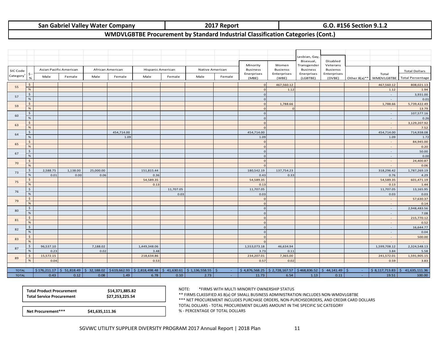### **San Gabriel Valley Water Company 2017 Report G.O. #156 Section 9.1.2**

### **WMDVLGBTBE Procurement by Standard Industrial Classification Categories (Cont.)**

|                              |                            |                            |                        |             |                  |                                                       |           |                 |        |                     |                                                                                | Lesbian, Gay,            |                       |                          |                                          |
|------------------------------|----------------------------|----------------------------|------------------------|-------------|------------------|-------------------------------------------------------|-----------|-----------------|--------|---------------------|--------------------------------------------------------------------------------|--------------------------|-----------------------|--------------------------|------------------------------------------|
|                              |                            |                            |                        |             |                  |                                                       |           |                 |        | Minority            | Women                                                                          | Bisexual,<br>Transgender | Disabled<br>Veterans  |                          |                                          |
| SIC Code                     |                            |                            | Asian Pacific American |             | African American | Hispanic American                                     |           | Native American |        | <b>Business</b>     | <b>Busienss</b>                                                                | <b>Business</b>          | <b>Busienss</b>       |                          | <b>Total Dollars</b>                     |
| Category                     | \$.<br>$\frac{Q}{C}$       | Male                       | Female                 | Male        | Female           | Male                                                  | Female    | Male            | Female | Enerprises<br>(MBE) | Enterprises<br>(WBE)                                                           | Enerprises<br>(LGBTBE)   | Enterprises<br>(DVBE) | Total                    | Other 8(a)** WMDVLGBTBE Total Percentage |
|                              | $\mathsf{S}$               |                            |                        |             |                  |                                                       |           |                 |        |                     | 467,560.12                                                                     |                          |                       | 467,560.12               | 808,021.13                               |
| 55                           | $\%$                       |                            |                        |             |                  |                                                       |           |                 |        |                     | 1.12                                                                           |                          |                       | 1.12                     | 1.94                                     |
| 57                           | $\frac{1}{2}$              |                            |                        |             |                  |                                                       |           |                 |        |                     |                                                                                |                          |                       | $\sim$                   | 3,931.00                                 |
|                              | $\%$<br>$\mathsf{S}$       |                            |                        |             |                  |                                                       |           |                 |        |                     |                                                                                |                          |                       | $\sim$                   | 0.01                                     |
| 59                           | $\%$                       |                            |                        |             |                  |                                                       |           |                 |        |                     | 1,788.66<br>$\Omega$                                                           |                          |                       | 1,788.66<br>$\sim$       | 5,739,422.49<br>13.79                    |
|                              | $\ddot{\mathsf{S}}$        |                            |                        |             |                  |                                                       |           |                 |        |                     |                                                                                |                          |                       | $\sim$                   | 107,577.16                               |
| 60                           | $\%$                       |                            |                        |             |                  |                                                       |           |                 |        |                     |                                                                                |                          |                       | $\sim$                   | 0.26                                     |
| 63                           | $\frac{1}{2}$              |                            |                        |             |                  |                                                       |           |                 |        |                     |                                                                                |                          |                       | $\sim$                   | 3,129,207.92                             |
|                              | %                          |                            |                        |             |                  |                                                       |           |                 |        |                     |                                                                                |                          |                       | $\sim$                   | 7.52                                     |
| 64                           | $\ddot{\mathsf{S}}$        |                            |                        |             | 454,714.00       |                                                       |           |                 |        | 454,714.00          |                                                                                |                          |                       | 454,714.00               | 714,938.08                               |
|                              | %                          |                            |                        |             | 1.09             |                                                       |           |                 |        | 1.09                |                                                                                |                          |                       | 1.09                     | 1.72                                     |
| 65                           | $\ddot{\varsigma}$<br>$\%$ |                            |                        |             |                  |                                                       |           |                 |        |                     |                                                                                |                          |                       | $\sim$<br>$\sim$         | 84,945.00<br>0.20                        |
|                              | $\mathsf{S}$               |                            |                        |             |                  |                                                       |           |                 |        | $\Omega$            |                                                                                |                          |                       | $\sim$                   | 50.00                                    |
| 67                           | $\%$                       |                            |                        |             |                  |                                                       |           |                 |        |                     |                                                                                |                          |                       | $\sim$                   | 0.00                                     |
|                              | $\ddot{\mathsf{S}}$        |                            |                        |             |                  |                                                       |           |                 |        |                     |                                                                                |                          |                       | $\sim$                   | 24,400.87                                |
| 70                           | %                          |                            |                        |             |                  |                                                       |           |                 |        |                     |                                                                                |                          |                       | $\sim$                   | 0.06                                     |
| 73                           | $\ddot{\mathsf{S}}$        | 2,588.75                   | 1,138.00               | 25,000.00   |                  | 151,815.44                                            |           |                 |        | 180,542.19          | 137,754.23                                                                     |                          |                       | 318,296.42               | 1,787,269.19                             |
|                              | $\%$                       | 0.01                       | 0.00                   | 0.06        |                  | 0.36                                                  |           |                 |        | 0.43                | 0.33                                                                           |                          |                       | 0.76                     | 4.29                                     |
| 75                           | $\mathsf{S}$<br>%          |                            |                        |             |                  | 54,589.35                                             |           |                 |        | 54,589.35           |                                                                                |                          |                       | 54,589.35                | 601,471.19                               |
|                              | $\mathsf{S}$               |                            |                        |             |                  | 0.13                                                  | 11,707.05 |                 |        | 0.13<br>11,707.05   |                                                                                |                          |                       | 0.13<br>11,707.05        | 1.44<br>13,165.95                        |
| 76                           | %                          |                            |                        |             |                  |                                                       | 0.03      |                 |        | 0.03                |                                                                                |                          |                       | 0.03                     | 0.03                                     |
|                              | \$                         |                            |                        |             |                  |                                                       |           |                 |        |                     |                                                                                |                          |                       | $\sim$                   | 57,630.37                                |
| 79                           | $\%$                       |                            |                        |             |                  |                                                       |           |                 |        |                     |                                                                                |                          |                       | $\sim$                   | 0.14                                     |
| 80                           | \$                         |                            |                        |             |                  |                                                       |           |                 |        | $\Omega$            |                                                                                |                          |                       | $\sim$                   | 2,948,483.56                             |
|                              | $\%$                       |                            |                        |             |                  |                                                       |           |                 |        |                     |                                                                                |                          |                       | $\sim$                   | 7.08                                     |
| 81                           | $\mathsf{S}$               |                            |                        |             |                  |                                                       |           |                 |        |                     |                                                                                |                          |                       | $\sim$                   | 215,770.12                               |
|                              | %<br>$\ddot{\varsigma}$    |                            |                        |             |                  |                                                       |           |                 |        |                     |                                                                                |                          |                       | $\sim$                   | 0.52<br>16,644.77                        |
| 82                           | %                          |                            |                        |             |                  |                                                       |           |                 |        |                     |                                                                                |                          |                       | $\sim$<br>$\sim$         | 0.04                                     |
|                              | $\frac{1}{2}$              |                            |                        |             |                  |                                                       |           |                 |        |                     |                                                                                |                          |                       | $\sim$                   | 500.00                                   |
| 83                           | %                          |                            |                        |             |                  |                                                       |           |                 |        |                     |                                                                                |                          |                       | $\overline{\phantom{a}}$ | $\sim$                                   |
| 87                           | \$                         | 96,537.10                  |                        | 7,188.02    |                  | 1,449,348.06                                          |           |                 |        | 1,553,073.18        | 46,634.94                                                                      |                          |                       | 1,599,708.12             | 2,324,548.13                             |
|                              | %                          | 0.23                       |                        | 0.02        |                  | 3.48                                                  |           |                 |        | 3.73                | 0.11                                                                           |                          |                       | 3.84                     | 5.58                                     |
| 89                           | $\mathsf{S}$               | 15,572.15                  |                        |             |                  | 218,634.86                                            |           |                 |        | 234,207.01          | 7,365.00                                                                       |                          |                       | 241,572.01               | 1,591,905.15                             |
|                              | $\frac{9}{6}$              | 0.04                       |                        |             |                  | 0.53                                                  |           |                 |        | 0.57                | 0.02                                                                           |                          |                       | 0.59                     | 3.83                                     |
|                              |                            | $$176,211.17$ $$51,818.49$ |                        | \$32,188.02 |                  | $\frac{1}{2}$ \$619,662.93 \$2,818,498.48 \$41,630.61 |           | \$1,136,558.55  | $\sim$ |                     | $\frac{1}{2}$ 4,876,568.25 $\frac{1}{2}$ 2,728,167.57 $\frac{1}{2}$ 468,836.52 |                          | \$44,141.49           |                          | $$8,117,713.83$ $$41,635,111.36$         |
| <b>TOTAL</b><br><b>TOTAL</b> |                            | 0.43                       | 0.12                   | 0.08        | 1.49             | 6.78                                                  | 0.10      | 2.73            | $\sim$ | 11.73               | 6.54                                                                           | 1.13                     | 0.11                  | 19.51                    | 100.00                                   |
|                              |                            |                            |                        |             |                  |                                                       |           |                 |        |                     |                                                                                |                          |                       |                          |                                          |

| <b>Total Product Procurement</b> | \$14,371,885.82 |
|----------------------------------|-----------------|
| <b>Total Service Procurement</b> | \$27,253,225.54 |

NOTE:\*FIRMS WITH MULTI MINORITY OWNERSHIP STATUS

\*\* FIRMS CLASSIFIED AS 8(a) OF SMALL BUSINESS ADMINISTRATION INCLUDES NON‐WMDVLGBTBE

\*\*\* NET PROCUREMENT INCLUDES PURCHASE ORDERS, NON‐PURCHSEORDERS, AND CREDIR CARD DOLLARS

TOTAL DOLLARS ‐ TOTAL PROCUREMENT DILLARS AMOUNT IN THE SPECIFIC SIC CATEGORY

**Net Procurement\*\*\***

**\$41,635,111.36** % ‐ PERCENTAGE OF TOTAL DOLLARS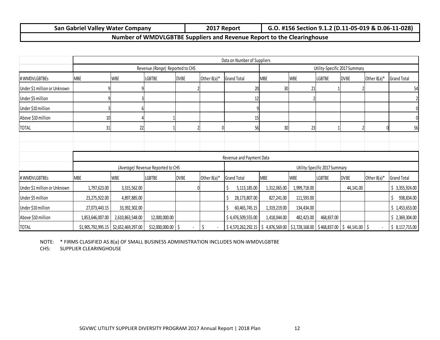| n Gabriel Vallev Water Company | 2017          | : #156 Section 9.1.2 (D.11-05-019 & D.06-11-028) |
|--------------------------------|---------------|--------------------------------------------------|
| San                            | <b>Report</b> | G.O                                              |

### **Number of WMDVLGBTBE Suppliers and Revenue Report to the Clearinghouse**

|                              |                  |                                         |                                   |             |                | Data on Number of Suppliers                                                                                                                                  |                               |              |               |             |                |                    |  |
|------------------------------|------------------|-----------------------------------------|-----------------------------------|-------------|----------------|--------------------------------------------------------------------------------------------------------------------------------------------------------------|-------------------------------|--------------|---------------|-------------|----------------|--------------------|--|
|                              |                  |                                         | Revenue (Range) Reported to CHS   |             |                |                                                                                                                                                              | Utility-Specific 2017 Summary |              |               |             |                |                    |  |
| # WMDVLGBTBEs                | <b>MBE</b>       | <b>WBE</b>                              | <b>LGBTBE</b>                     | <b>DVBE</b> | Other $8(a)^*$ | <b>Grand Total</b>                                                                                                                                           | <b>MBE</b>                    | <b>WBE</b>   | <b>LGBTBE</b> | <b>DVBE</b> | Other 8(a)*    | <b>Grand Total</b> |  |
| Under \$1 million or Unknown |                  |                                         |                                   |             |                | 20                                                                                                                                                           | 30 <sub>l</sub>               | 21           |               |             |                | 54                 |  |
| Under \$5 million            |                  |                                         |                                   |             |                | 12                                                                                                                                                           |                               |              |               |             |                |                    |  |
| Under \$10 million           |                  |                                         |                                   |             |                |                                                                                                                                                              |                               |              |               |             |                |                    |  |
| Above \$10 million           | 1 <sup>1</sup>   |                                         |                                   |             |                | 15                                                                                                                                                           |                               |              |               |             |                |                    |  |
| <b>TOTAL</b>                 | 31               | 22                                      |                                   |             |                | 56                                                                                                                                                           | 30 <sub>l</sub>               | 23           |               |             |                | 56                 |  |
|                              |                  |                                         |                                   |             |                |                                                                                                                                                              |                               |              |               |             |                |                    |  |
|                              |                  |                                         |                                   |             |                |                                                                                                                                                              |                               |              |               |             |                |                    |  |
|                              |                  |                                         |                                   |             |                | Revenue and Payment Data                                                                                                                                     |                               |              |               |             |                |                    |  |
|                              |                  |                                         | (Average) Revenue Reported to CHS |             |                | Utility-Specific 2017 Summary                                                                                                                                |                               |              |               |             |                |                    |  |
| # WMDVLGBTBEs                | MBE              | WBE                                     | LGBTBE                            | <b>DVBE</b> | Other $8(a)^*$ | <b>Grand Total</b>                                                                                                                                           | <b>MBE</b>                    | <b>WBE</b>   | <b>LGBTBE</b> | <b>DVBE</b> | Other $8(a)^*$ | <b>Grand Total</b> |  |
| Under \$1 million or Unknown | 1,797,623.00     | 3,315,562.00                            |                                   |             |                | 5,113,185.00                                                                                                                                                 | 1,312,065.00                  | 1,999,718.00 |               | 44,141.00   |                | \$3,355,924.00     |  |
| Under \$5 million            | 23,275,922.00    | 4,897,885.00                            |                                   |             |                | 28,173,807.00                                                                                                                                                | 827,241.00                    | 111,593.00   |               |             |                | 938,834.00         |  |
| Under \$10 million           | 27,073,443.15    | 33,392,302.00                           |                                   |             |                | 60,465,745.15                                                                                                                                                | 1,319,219.00                  | 134,434.00   |               |             |                | \$1,453,653.00     |  |
| Above \$10 million           | 1,853,646,007.00 | 2,610,863,548.00                        | 12,000,000.00                     |             |                | \$4,476,509,555.00                                                                                                                                           | 1,418,044.00                  | 482,423.00   | 468,837.00    |             |                | \$2,369,304.00     |  |
| <b>TOTAL</b>                 |                  | $$1,905,792,995.15$ $$2,652,469,297.00$ | $$12,000,000.00$ $$$              |             | \$             | $\frac{1}{2}$ 4,570,262,292.15   $\frac{1}{2}$ 4,876,569.00   $\frac{1}{2}$ ,728,168.00   $\frac{1}{2}$ 468,837.00   $\frac{1}{2}$ 44,141.00   $\frac{1}{2}$ |                               |              |               |             |                | \$8,117,715.00     |  |

NOTE: \* FIRMS CLASIFIED AS 8(a) OF SMALL BUSINESS ADMINISTRATION INCLUDES NON‐WMDVLGBTBE

CHS: SUPPLIER CLEARINGHOUSE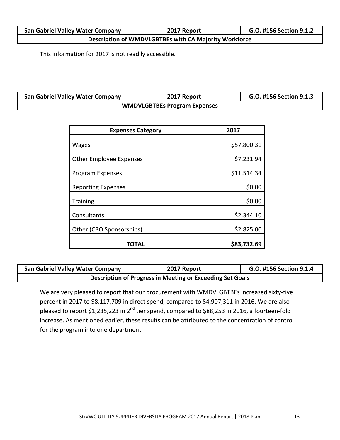| <b>San Gabriel Valley Water Company</b>               | 2017 Report | G.O. #156 Section 9.1.2 |
|-------------------------------------------------------|-------------|-------------------------|
| Description of WMDVLGBTBEs with CA Majority Workforce |             |                         |

This information for 2017 is not readily accessible.

| <b>San Gabriel Valley Water Company</b> | 2017 Report                         | G.O. #156 Section 9.1.3 |
|-----------------------------------------|-------------------------------------|-------------------------|
|                                         | <b>WMDVLGBTBEs Program Expenses</b> |                         |

| <b>Expenses Category</b>       | 2017        |
|--------------------------------|-------------|
| <b>Wages</b>                   | \$57,800.31 |
| <b>Other Employee Expenses</b> | \$7,231.94  |
| Program Expenses               | \$11,514.34 |
| <b>Reporting Expenses</b>      | \$0.00      |
| <b>Training</b>                | \$0.00      |
| Consultants                    | \$2,344.10  |
| Other (CBO Sponsorships)       | \$2,825.00  |
| TOTAL                          | \$83,732.69 |

| <b>San Gabriel Valley Water Company</b> | 2017 Report                                               | G.O. #156 Section 9.1.4 |
|-----------------------------------------|-----------------------------------------------------------|-------------------------|
|                                         | Description of Progress in Meeting or Exceeding Set Goals |                         |

We are very pleased to report that our procurement with WMDVLGBTBEs increased sixty-five percent in 2017 to \$8,117,709 in direct spend, compared to \$4,907,311 in 2016. We are also .<br>pleased to report \$1,235,223 in 2<sup>nd</sup> tier spend, compared to \$88,253 in 2016, a fourteen-fold increase. As mentioned earlier, these results can be attributed to the concentration of control for the program into one department.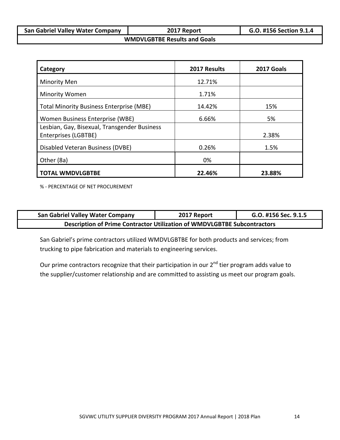| <b>San Gabriel Valley Water Company</b> | 2017 Report                         | G.O. #156 Section 9.1.4 |
|-----------------------------------------|-------------------------------------|-------------------------|
|                                         | <b>WMDVLGBTBE Results and Goals</b> |                         |

| Category                                                             | 2017 Results | 2017 Goals |
|----------------------------------------------------------------------|--------------|------------|
| <b>Minority Men</b>                                                  | 12.71%       |            |
| <b>Minority Women</b>                                                | 1.71%        |            |
| <b>Total Minority Business Enterprise (MBE)</b>                      | 14.42%       | 15%        |
| Women Business Enterprise (WBE)                                      | 6.66%        | 5%         |
| Lesbian, Gay, Bisexual, Transgender Business<br>Enterprises (LGBTBE) |              | 2.38%      |
| Disabled Veteran Business (DVBE)                                     | 0.26%        | 1.5%       |
| Other (8a)                                                           | 0%           |            |
| <b>TOTAL WMDVLGBTBE</b>                                              | 22.46%       | 23.88%     |

% ‐ PERCENTAGE OF NET PROCUREMENT

| <b>San Gabriel Valley Water Company</b>                                         | 2017 Report | G.O. #156 Sec. 9.1.5 |  |
|---------------------------------------------------------------------------------|-------------|----------------------|--|
| <b>Description of Prime Contractor Utilization of WMDVLGBTBE Subcontractors</b> |             |                      |  |

San Gabriel's prime contractors utilized WMDVLGBTBE for both products and services; from trucking to pipe fabrication and materials to engineering services.

Our prime contractors recognize that their participation in our 2<sup>nd</sup> tier program adds value to the supplier/customer relationship and are committed to assisting us meet our program goals.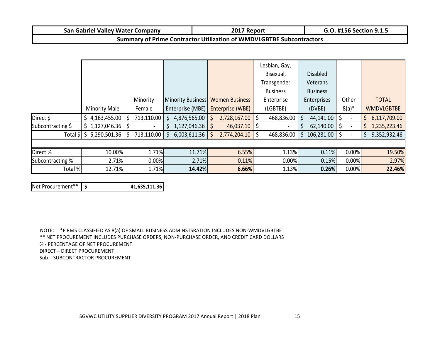| v Water Companv<br><b>Valley</b><br>. Gabriel<br>san | 2017<br>Report | $\mu$ a p $\sigma$<br>. Section 9<br>-<br>. .<br>. |
|------------------------------------------------------|----------------|----------------------------------------------------|
|------------------------------------------------------|----------------|----------------------------------------------------|

### **Summary of Prime Contractor Utilization of WMDVLGBTBE Subcontractors**

|                   |                      |            |    |                                  |                  |    | Lesbian, Gay,   |                 |          |                   |
|-------------------|----------------------|------------|----|----------------------------------|------------------|----|-----------------|-----------------|----------|-------------------|
|                   |                      |            |    |                                  |                  |    | Bisexual,       | <b>Disabled</b> |          |                   |
|                   |                      |            |    |                                  |                  |    | Transgender     | Veterans        |          |                   |
|                   |                      |            |    |                                  |                  |    | <b>Business</b> | <b>Business</b> |          |                   |
|                   |                      | Minority   |    | Minority Business Women Business |                  |    | Enterprise      | Enterprises     | Other    | <b>TOTAL</b>      |
|                   | <b>Minority Male</b> | Female     |    | Enterprise (MBE)                 | Enterprise (WBE) |    | (LGBTBE)        | (DVBE)          | $8(a)*$  | <b>WMDVLGBTBE</b> |
| Direct \$         | 4,163,455.00         | 713,110.00 | S  | 4,876,565.00                     | 2,728,167.00     | Ŝ. | 468,836.00      | 44,141.00       |          | 8,117,709.00      |
| Subcontracting \$ | \$1,127,046.36       |            | S  | 1,127,046.36                     | 46,037.10        |    |                 | 62,140.00       |          | 1,235,223.46      |
| Total \$          | 5,290,501.36         | 713,110.00 | \$ | 6,003,611.36                     | 2,774,204.10     |    | 468,836.00      | 106,281.00      |          | 9,352,932.46      |
|                   |                      |            |    |                                  |                  |    |                 |                 |          |                   |
| Direct %          | 10.00%               | 1.71%      |    | 11.71%                           | 6.55%            |    | 1.13%           | 0.11%           | $0.00\%$ | 19.50%            |
| Subcontracting %  | 2.71%                | 0.00%      |    | 2.71%                            | 0.11%            |    | 0.00%           | 0.15%           | 0.00%    | 2.97%             |
| Total %           | 12.71%               | 1.71%      |    | 14.42%                           | 6.66%            |    | 1.13%           | 0.26%           | 0.00%    | 22.46%            |

Net Procurement\*\***\$ 41,635,111.36**

NOTE: \*FIRMS CLASSIFIED AS 8(a) OF SMALL BUSINESS ADMINSTSRATION INCLUDES NON‐WMDVLGBTBE \*\* NET PROCUREMENT INCLUDES PURCHASE ORDERS, NON‐PURCHASE ORDER, AND CREDIT CARD DOLLARS % ‐ PERCENTAGE OF NET PROCUREMENT DIRECT – DIRECT PROCUREMENT Sub – SUBCONTRACTOR PROCUREMENT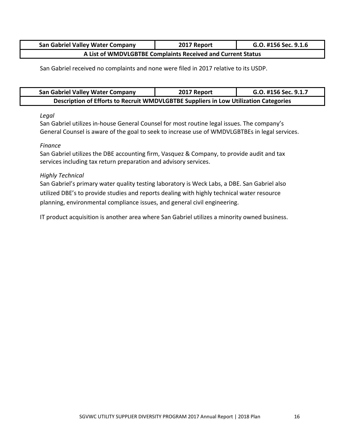| <b>San Gabriel Valley Water Company</b> | 2017 Report                                                 | G.O. #156 Sec. 9.1.6 |
|-----------------------------------------|-------------------------------------------------------------|----------------------|
|                                         | A List of WMDVLGBTBE Complaints Received and Current Status |                      |

San Gabriel received no complaints and none were filed in 2017 relative to its USDP.

| <b>San Gabriel Valley Water Company</b>                                              | 2017 Report | G.O. #156 Sec. 9.1.7 |  |  |
|--------------------------------------------------------------------------------------|-------------|----------------------|--|--|
| Description of Efforts to Recruit WMDVLGBTBE Suppliers in Low Utilization Categories |             |                      |  |  |

### *Legal*

San Gabriel utilizes in-house General Counsel for most routine legal issues. The company's General Counsel is aware of the goal to seek to increase use of WMDVLGBTBEs in legal services.

### *Finance*

San Gabriel utilizes the DBE accounting firm, Vasquez & Company, to provide audit and tax services including tax return preparation and advisory services.

### *Highly Technical*

San Gabriel's primary water quality testing laboratory is Weck Labs, a DBE. San Gabriel also utilized DBE's to provide studies and reports dealing with highly technical water resource planning, environmental compliance issues, and general civil engineering.

IT product acquisition is another area where San Gabriel utilizes a minority owned business.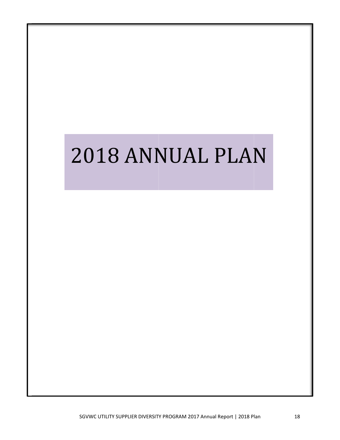# 2018 ANNUAL PLAN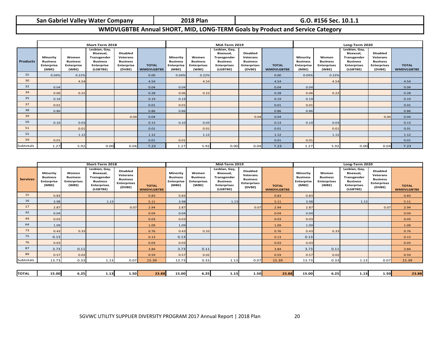| San Gabriel Valley Water Compan |  |  |  |  |  |
|---------------------------------|--|--|--|--|--|
|---------------------------------|--|--|--|--|--|

**Gabriel Valley Water Company 2018 Plan G.O. #156 Sec. 10.1.1**

### **WMDVLGBTBE Annual SHORT, MID, LONG‐TERM Goals by Product and Service Category**

|                 | Short-Term 2018                                           |                                                        |                                                                                               |                                                                               |                                   | Mid-Term 2019                                             |                                                         |                                                                                                |                                                                                | Long-Term 2020                    |                                                           |                                                         |                                                                                                |                                                                                |                                   |
|-----------------|-----------------------------------------------------------|--------------------------------------------------------|-----------------------------------------------------------------------------------------------|-------------------------------------------------------------------------------|-----------------------------------|-----------------------------------------------------------|---------------------------------------------------------|------------------------------------------------------------------------------------------------|--------------------------------------------------------------------------------|-----------------------------------|-----------------------------------------------------------|---------------------------------------------------------|------------------------------------------------------------------------------------------------|--------------------------------------------------------------------------------|-----------------------------------|
| <b>Products</b> | Minority<br><b>Business</b><br><b>Enterprise</b><br>(MBE) | Women<br><b>Business</b><br><b>Enterprise</b><br>(WBE) | Lesbian, Gay,<br>Bisexual,<br>Transgender<br><b>Business</b><br><b>Enterprise</b><br>(LGBTBE) | <b>Disabled</b><br>Veterans<br><b>Business</b><br><b>Enterprise</b><br>(DVBE) | <b>TOTAL</b><br><b>WMDVLGBTBE</b> | Minority<br><b>Business</b><br><b>Enterprise</b><br>(MBE) | Women<br><b>Business</b><br><b>Enterprises</b><br>(WBE) | Lesbian, Gay,<br>Bisexual,<br>Transgender<br><b>Business</b><br><b>Enterprises</b><br>(LGBTBE) | <b>Disabled</b><br>Veterans<br><b>Business</b><br><b>Enterprises</b><br>(DVBE) | <b>TOTAL</b><br><b>WMDVLGBTBE</b> | Minority<br><b>Business</b><br><b>Enterprise</b><br>(MBE) | Women<br><b>Business</b><br><b>Enterprises</b><br>(WBE) | Lesbian, Gay,<br>Bisexual,<br>Transgender<br><b>Business</b><br><b>Enterprises</b><br>(LGBTBE) | <b>Disabled</b><br>Veterans<br><b>Business</b><br><b>Enterprises</b><br>(DVBE) | <b>TOTAL</b><br><b>WMDVLGBTBE</b> |
| 25              | 0.04%                                                     | 0.22%                                                  |                                                                                               |                                                                               | 0.00                              | 0.04%                                                     | 0.22%                                                   |                                                                                                |                                                                                | 0.00                              | 0.04%                                                     | 0.22%                                                   |                                                                                                |                                                                                |                                   |
| 30              |                                                           | 4.54                                                   |                                                                                               |                                                                               | 4.54                              |                                                           | 4.54                                                    |                                                                                                |                                                                                | 4.54                              |                                                           | 4.54                                                    |                                                                                                |                                                                                | 4.54                              |
| 32              | 0.04                                                      |                                                        |                                                                                               |                                                                               | 0.04                              | 0.04                                                      |                                                         |                                                                                                |                                                                                | 0.04                              | 0.04                                                      |                                                         |                                                                                                |                                                                                | 0.04                              |
| 34              | 0.06                                                      | 0.22                                                   |                                                                                               |                                                                               | 0.28                              | 0.06                                                      | 0.22                                                    |                                                                                                |                                                                                | 0.28                              | 0.06                                                      | 0.22                                                    |                                                                                                |                                                                                | 0.28                              |
| 35              | 0.19                                                      |                                                        |                                                                                               |                                                                               | 0.19                              | 0.19                                                      |                                                         |                                                                                                |                                                                                | 0.19                              | 0.19                                                      |                                                         |                                                                                                |                                                                                | 0.19                              |
| 37              | 0.01                                                      |                                                        |                                                                                               |                                                                               | 0.01                              | 0.01                                                      |                                                         |                                                                                                |                                                                                | 0.01                              | 0.01                                                      |                                                         |                                                                                                |                                                                                | 0.01                              |
| 38              | 0.86                                                      |                                                        |                                                                                               |                                                                               | 0.86                              | 0.86                                                      |                                                         |                                                                                                |                                                                                | 0.86                              | 0.86                                                      |                                                         |                                                                                                |                                                                                | 0.86                              |
| 39              |                                                           |                                                        |                                                                                               | 0.04                                                                          | 0.04                              |                                                           |                                                         |                                                                                                | 0.04                                                                           | 0.04                              |                                                           |                                                         |                                                                                                | 0.04                                                                           | 0.04                              |
| 50              | 0.10                                                      | 0.03                                                   |                                                                                               |                                                                               | 0.13                              | 0.10                                                      | 0.03                                                    |                                                                                                |                                                                                | 0.13                              | 0.10                                                      | 0.03                                                    |                                                                                                |                                                                                | 0.13                              |
| 51              |                                                           | 0.01                                                   |                                                                                               |                                                                               | 0.01                              |                                                           | 0.01                                                    |                                                                                                |                                                                                | 0.01                              |                                                           | 0.01                                                    |                                                                                                |                                                                                | 0.01                              |
| 55              |                                                           | 1.12                                                   |                                                                                               |                                                                               | 1.12                              |                                                           | 1.12                                                    |                                                                                                |                                                                                | 1.12                              |                                                           | 1.12                                                    |                                                                                                |                                                                                | 1.12                              |
| 59              | 0.01                                                      |                                                        |                                                                                               |                                                                               | 0.01                              | 0.01                                                      |                                                         |                                                                                                |                                                                                | 0.01                              | 0.01                                                      |                                                         |                                                                                                |                                                                                | 0.01                              |
| Subtotals       | 1.27                                                      | 5.92                                                   | 0.00                                                                                          | 0.04                                                                          | 7.23                              | 1.27                                                      | 5.92                                                    | 0.00                                                                                           | 0.04                                                                           | 7.23                              | 1.27                                                      | 5.92                                                    | 0.00                                                                                           | 0.04                                                                           | 7.23                              |

|                 | Short-Term 2018                                    |                                                         |                                                                                                |                                                                                | Mid-Term 2019                     |                                                           |                                                         |                                                                                                | Long-Term 2020                                                                 |                                   |                                                           |                                                         |                                                                                                |                                                                                |                                   |
|-----------------|----------------------------------------------------|---------------------------------------------------------|------------------------------------------------------------------------------------------------|--------------------------------------------------------------------------------|-----------------------------------|-----------------------------------------------------------|---------------------------------------------------------|------------------------------------------------------------------------------------------------|--------------------------------------------------------------------------------|-----------------------------------|-----------------------------------------------------------|---------------------------------------------------------|------------------------------------------------------------------------------------------------|--------------------------------------------------------------------------------|-----------------------------------|
| <b>Services</b> | Minority<br><b>Business</b><br>Enterprise<br>(MBE) | Women<br><b>Business</b><br><b>Enterprises</b><br>(WBE) | Lesbian, Gay,<br>Bisexual,<br>Transgender<br><b>Business</b><br><b>Enterprises</b><br>(LGBTBE) | <b>Disabled</b><br>Veterans<br><b>Business</b><br><b>Enterprises</b><br>(DVBE) | <b>TOTAL</b><br><b>WMDVLGBTBE</b> | Minority<br><b>Business</b><br><b>Enterprise</b><br>(MBE) | Women<br><b>Business</b><br><b>Enterprises</b><br>(WBE) | Lesbian, Gay,<br>Bisexual,<br>Transgender<br><b>Business</b><br><b>Enterprises</b><br>(LGBTBE) | <b>Disabled</b><br>Veterans<br><b>Business</b><br><b>Enterprises</b><br>(DVBE) | <b>TOTAL</b><br><b>WMDVLGBTBE</b> | Minority<br><b>Business</b><br><b>Enterprise</b><br>(MBE) | Women<br><b>Business</b><br><b>Enterprises</b><br>(WBE) | Lesbian, Gay,<br>Bisexual,<br>Transgender<br><b>Business</b><br><b>Enterprises</b><br>(LGBTBE) | <b>Disabled</b><br>Veterans<br><b>Business</b><br><b>Enterprises</b><br>(DVBE) | <b>TOTAL</b><br><b>WMDVLGBTBE</b> |
| 15              | 0.83                                               |                                                         |                                                                                                |                                                                                | 0.83                              | 0.83                                                      |                                                         |                                                                                                |                                                                                | 0.83                              | 0.83                                                      |                                                         |                                                                                                |                                                                                | 0.83                              |
| 16              | 3.98                                               |                                                         | 1.13                                                                                           |                                                                                | 5.11                              | 3.98                                                      |                                                         | 1.13                                                                                           |                                                                                | 5.11                              | 3.98                                                      |                                                         | 1.13                                                                                           |                                                                                | 5.11                              |
| 17              | 2.87                                               |                                                         |                                                                                                | 0.07                                                                           | 2.94                              | 2.87                                                      |                                                         |                                                                                                | 0.07                                                                           | 2.94                              | 2.87                                                      |                                                         |                                                                                                | 0.07                                                                           | 2.94                              |
| 42              | 0.04                                               |                                                         |                                                                                                |                                                                                | 0.04                              | 0.04                                                      |                                                         |                                                                                                |                                                                                | 0.04                              | 0.04                                                      |                                                         |                                                                                                |                                                                                | 0.04                              |
| 44              | 0.03                                               |                                                         |                                                                                                |                                                                                | 0.03                              | 0.03                                                      |                                                         |                                                                                                |                                                                                | 0.03                              | 0.03                                                      |                                                         |                                                                                                |                                                                                | 0.03                              |
| 64              | 1.09                                               |                                                         |                                                                                                |                                                                                | 1.09                              | 1.09                                                      |                                                         |                                                                                                |                                                                                | 1.09                              | 1.09                                                      |                                                         |                                                                                                |                                                                                | 1.09                              |
| 73              | 0.43                                               | 0.33                                                    |                                                                                                |                                                                                | 0.76                              | 0.43                                                      | 0.33                                                    |                                                                                                |                                                                                | 0.76                              | 0.43                                                      | 0.33                                                    |                                                                                                |                                                                                | 0.76                              |
| 75              | 0.13                                               |                                                         |                                                                                                |                                                                                | 0.13                              | 0.13                                                      |                                                         |                                                                                                |                                                                                | 0.13                              | 0.13                                                      |                                                         |                                                                                                |                                                                                | 0.13                              |
| 76              | 0.03                                               |                                                         |                                                                                                |                                                                                | 0.03                              | 0.03                                                      |                                                         |                                                                                                |                                                                                | 0.03                              | 0.03                                                      |                                                         |                                                                                                |                                                                                | 0.03                              |
| 87              | 3.73                                               | 0.11                                                    |                                                                                                |                                                                                | 3.84                              | 3.73                                                      | 0.11                                                    |                                                                                                |                                                                                | 3.84                              | 3.73                                                      | 0.11                                                    |                                                                                                |                                                                                | 3.84                              |
| 89              | 0.57                                               | 0.02                                                    |                                                                                                |                                                                                | 0.59                              | 0.57                                                      | 0.02                                                    |                                                                                                |                                                                                | 0.59                              | 0.57                                                      | 0.02                                                    |                                                                                                |                                                                                | 0.59                              |
| Subtotals       | 13.73                                              | 0.33                                                    | 1.13                                                                                           | 0.07                                                                           | 15.39                             | 13.73                                                     | 0.33                                                    | 1.13                                                                                           | 0.07                                                                           | 15.39                             | 13.73                                                     | 0.33                                                    | 1.13                                                                                           | 0.07                                                                           | 15.39                             |
|                 |                                                    |                                                         |                                                                                                |                                                                                |                                   |                                                           |                                                         |                                                                                                |                                                                                |                                   |                                                           |                                                         |                                                                                                |                                                                                |                                   |
| <b>TOTAL</b>    | 15.00                                              | 6.25                                                    | 1.13                                                                                           | 1.50                                                                           | 23.88                             | 15.00                                                     | 6.25                                                    | 1.13                                                                                           | 1.50                                                                           | 23.88                             | 15.00                                                     | 6.25                                                    | 1.13                                                                                           | 1.50                                                                           | 23.88                             |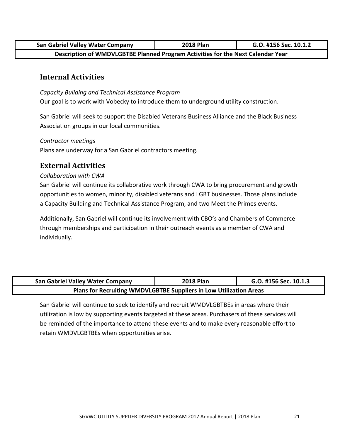| <b>San Gabriel Valley Water Company</b>                                         | <b>2018 Plan</b> | G.O. #156 Sec. 10.1.2 |  |  |  |  |  |
|---------------------------------------------------------------------------------|------------------|-----------------------|--|--|--|--|--|
| Description of WMDVLGBTBE Planned Program Activities for the Next Calendar Year |                  |                       |  |  |  |  |  |

### **Internal Activities**

*Capacity Building and Technical Assistance Program* Our goal is to work with Vobecky to introduce them to underground utility construction.

San Gabriel will seek to support the Disabled Veterans Business Alliance and the Black Business Association groups in our local communities.

*Contractor meetings*

Plans are underway for a San Gabriel contractors meeting.

### **External Activities**

### *Collaboration with CWA*

San Gabriel will continue its collaborative work through CWA to bring procurement and growth opportunities to women, minority, disabled veterans and LGBT businesses. Those plans include a Capacity Building and Technical Assistance Program, and two Meet the Primes events.

Additionally, San Gabriel will continue its involvement with CBO's and Chambers of Commerce through memberships and participation in their outreach events as a member of CWA and individually.

| <b>San Gabriel Valley Water Company</b>                            | <b>2018 Plan</b> | G.O. #156 Sec. 10.1.3 |  |  |  |  |
|--------------------------------------------------------------------|------------------|-----------------------|--|--|--|--|
| Plans for Recruiting WMDVLGBTBE Suppliers in Low Utilization Areas |                  |                       |  |  |  |  |

San Gabriel will continue to seek to identify and recruit WMDVLGBTBEs in areas where their utilization is low by supporting events targeted at these areas. Purchasers of these services will be reminded of the importance to attend these events and to make every reasonable effort to retain WMDVLGBTBEs when opportunities arise.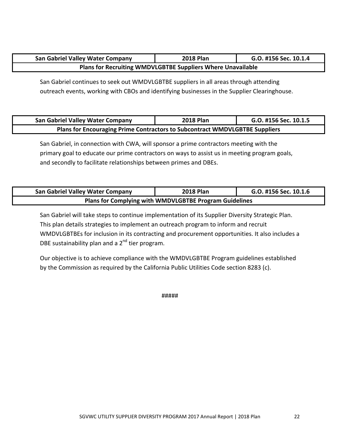| <b>San Gabriel Valley Water Company</b>                            | <b>2018 Plan</b> | G.O. #156 Sec. 10.1.4 |  |  |  |  |
|--------------------------------------------------------------------|------------------|-----------------------|--|--|--|--|
| <b>Plans for Recruiting WMDVLGBTBE Suppliers Where Unavailable</b> |                  |                       |  |  |  |  |

San Gabriel continues to seek out WMDVLGBTBE suppliers in all areas through attending outreach events, working with CBOs and identifying businesses in the Supplier Clearinghouse.

| <b>San Gabriel Valley Water Company</b>                                     | <b>2018 Plan</b> | G.O. #156 Sec. 10.1.5 |  |  |  |  |
|-----------------------------------------------------------------------------|------------------|-----------------------|--|--|--|--|
| Plans for Encouraging Prime Contractors to Subcontract WMDVLGBTBE Suppliers |                  |                       |  |  |  |  |

San Gabriel, in connection with CWA, will sponsor a prime contractors meeting with the primary goal to educate our prime contractors on ways to assist us in meeting program goals, and secondly to facilitate relationships between primes and DBEs.

| <b>San Gabriel Valley Water Company</b>                       | <b>2018 Plan</b> | G.O. #156 Sec. 10.1.6 |  |  |  |  |
|---------------------------------------------------------------|------------------|-----------------------|--|--|--|--|
| <b>Plans for Complying with WMDVLGBTBE Program Guidelines</b> |                  |                       |  |  |  |  |

San Gabriel will take steps to continue implementation of its Supplier Diversity Strategic Plan. This plan details strategies to implement an outreach program to inform and recruit WMDVLGBTBEs for inclusion in its contracting and procurement opportunities. It also includes a DBE sustainability plan and a  $2<sup>nd</sup>$  tier program.

Our objective is to achieve compliance with the WMDVLGBTBE Program guidelines established by the Commission as required by the California Public Utilities Code section 8283 (c).

#####